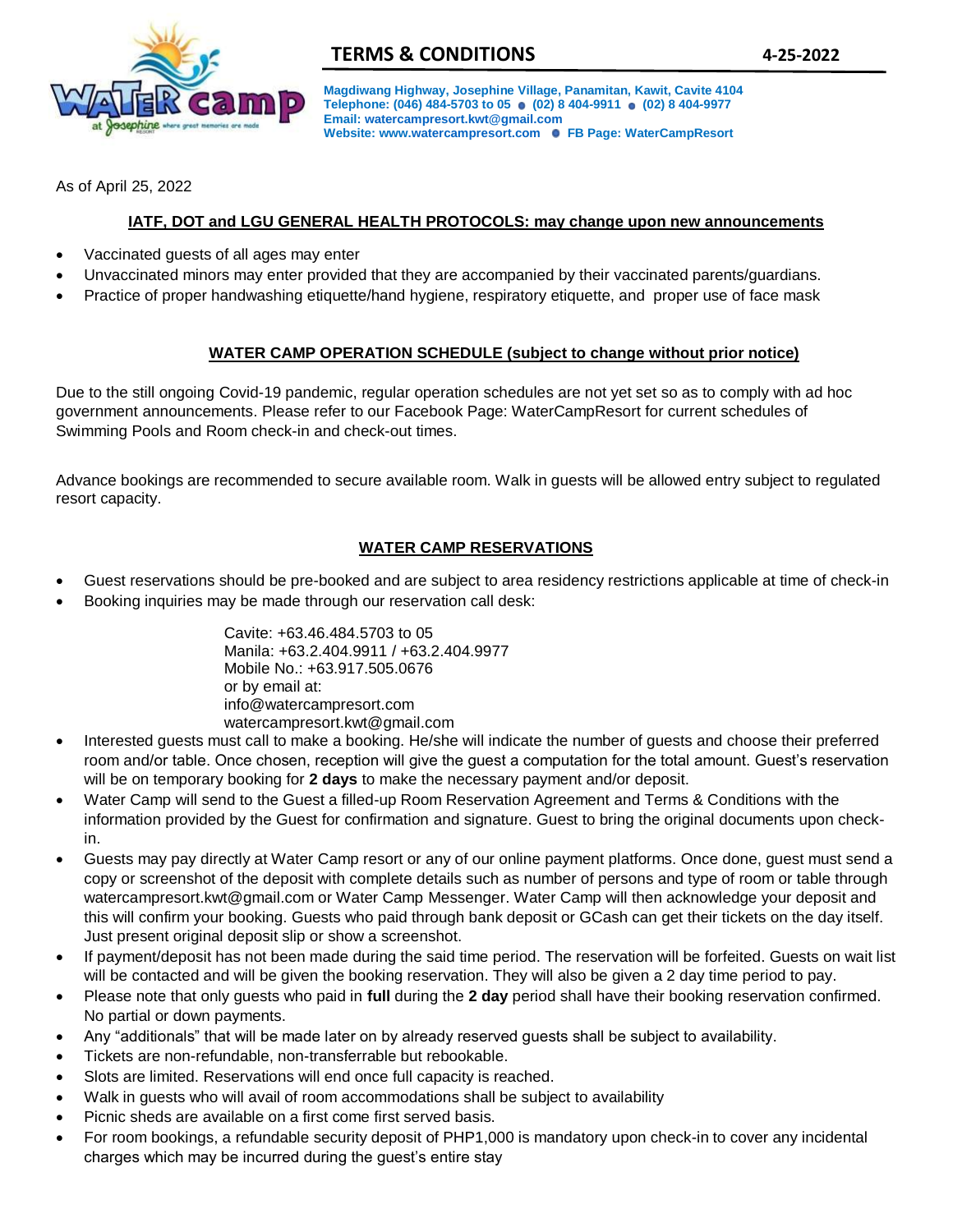

**Magdiwang Highway, Josephine Village, Panamitan, Kawit, Cavite 4104**  Telephone: (046) 484-5703 to 05 (02) 8 404-9911 (02) 8 404-9977 **Email[: watercampresort.kwt@gmail.com](mailto:watercampresort.kwt@gmail.com)  Website: ww[w.watercampresort.com](mailto:watercampresort.kwt@gmail.com) FB Page: WaterCampResort**

As of April 25, 2022

## **IATF, DOT and LGU GENERAL HEALTH PROTOCOLS: may change upon new announcements**

- Vaccinated guests of all ages may enter
- Unvaccinated minors may enter provided that they are accompanied by their vaccinated parents/guardians.
- Practice of proper handwashing etiquette/hand hygiene, respiratory etiquette, and proper use of face mask

## **WATER CAMP OPERATION SCHEDULE (subject to change without prior notice)**

Due to the still ongoing Covid-19 pandemic, regular operation schedules are not yet set so as to comply with ad hoc government announcements. Please refer to our Facebook Page: WaterCampResort for current schedules of Swimming Pools and Room check-in and check-out times.

Advance bookings are recommended to secure available room. Walk in guests will be allowed entry subject to regulated resort capacity.

# **WATER CAMP RESERVATIONS**

- Guest reservations should be pre-booked and are subject to area residency restrictions applicable at time of check-in
- Booking inquiries may be made through our reservation call desk:

Cavite: +63.46.484.5703 to 05 Manila: +63.2.404.9911 / +63.2.404.9977 Mobile No.: +63.917.505.0676 or by email at: info@watercampresort.com watercampresort.kwt@gmail.com

- Interested guests must call to make a booking. He/she will indicate the number of guests and choose their preferred room and/or table. Once chosen, reception will give the guest a computation for the total amount. Guest's reservation will be on temporary booking for **2 days** to make the necessary payment and/or deposit.
- Water Camp will send to the Guest a filled-up Room Reservation Agreement and Terms & Conditions with the information provided by the Guest for confirmation and signature. Guest to bring the original documents upon checkin.
- Guests may pay directly at Water Camp resort or any of our online payment platforms. Once done, guest must send a copy or screenshot of the deposit with complete details such as number of persons and type of room or table through watercampresort.kwt@gmail.com or Water Camp Messenger. Water Camp will then acknowledge your deposit and this will confirm your booking. Guests who paid through bank deposit or GCash can get their tickets on the day itself. Just present original deposit slip or show a screenshot.
- If payment/deposit has not been made during the said time period. The reservation will be forfeited. Guests on wait list will be contacted and will be given the booking reservation. They will also be given a 2 day time period to pay.
- Please note that only guests who paid in **full** during the **2 day** period shall have their booking reservation confirmed. No partial or down payments.
- Any "additionals" that will be made later on by already reserved guests shall be subject to availability.
- Tickets are non-refundable, non-transferrable but rebookable.
- Slots are limited. Reservations will end once full capacity is reached.
- Walk in guests who will avail of room accommodations shall be subject to availability
- Picnic sheds are available on a first come first served basis.
- For room bookings, a refundable security deposit of PHP1,000 is mandatory upon check-in to cover any incidental charges which may be incurred during the guest's entire stay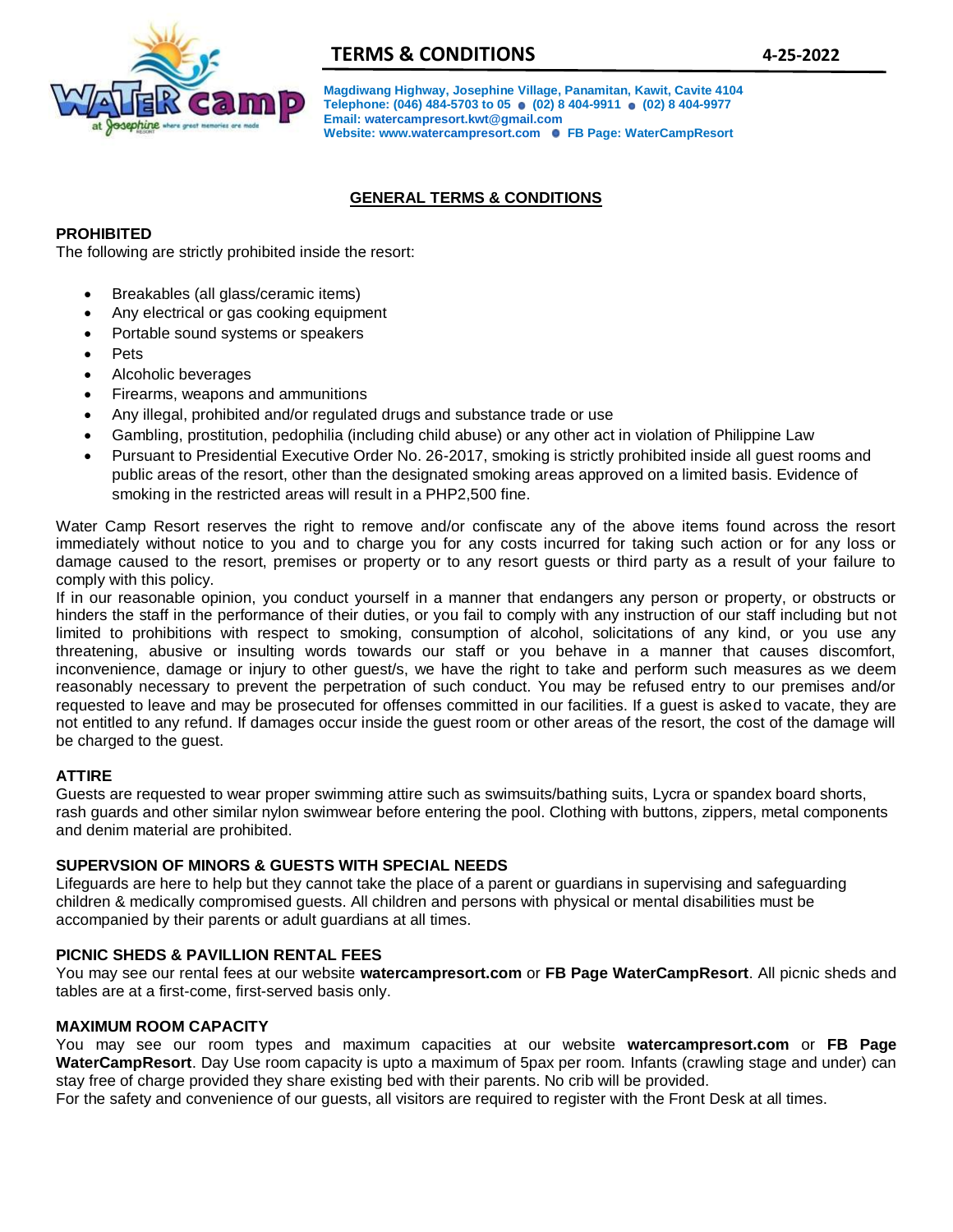

# **TERMS & CONDITIONS 4-25-2022**

**Magdiwang Highway, Josephine Village, Panamitan, Kawit, Cavite 4104**  Telephone: (046) 484-5703 to 05 (02) 8 404-9911 (02) 8 404-9977 **Email[: watercampresort.kwt@gmail.com](mailto:watercampresort.kwt@gmail.com)  Website: ww[w.watercampresort.com](mailto:watercampresort.kwt@gmail.com) FB Page: WaterCampResort**

# **GENERAL TERMS & CONDITIONS**

## **PROHIBITED**

The following are strictly prohibited inside the resort:

- Breakables (all glass/ceramic items)
- Any electrical or gas cooking equipment
- Portable sound systems or speakers
- Pets
- Alcoholic beverages
- Firearms, weapons and ammunitions
- Any illegal, prohibited and/or regulated drugs and substance trade or use
- Gambling, prostitution, pedophilia (including child abuse) or any other act in violation of Philippine Law
- Pursuant to Presidential Executive Order No. 26-2017, smoking is strictly prohibited inside all guest rooms and public areas of the resort, other than the designated smoking areas approved on a limited basis. Evidence of smoking in the restricted areas will result in a PHP2,500 fine.

Water Camp Resort reserves the right to remove and/or confiscate any of the above items found across the resort immediately without notice to you and to charge you for any costs incurred for taking such action or for any loss or damage caused to the resort, premises or property or to any resort guests or third party as a result of your failure to comply with this policy.

If in our reasonable opinion, you conduct yourself in a manner that endangers any person or property, or obstructs or hinders the staff in the performance of their duties, or you fail to comply with any instruction of our staff including but not limited to prohibitions with respect to smoking, consumption of alcohol, solicitations of any kind, or you use any threatening, abusive or insulting words towards our staff or you behave in a manner that causes discomfort, inconvenience, damage or injury to other guest/s, we have the right to take and perform such measures as we deem reasonably necessary to prevent the perpetration of such conduct. You may be refused entry to our premises and/or requested to leave and may be prosecuted for offenses committed in our facilities. If a guest is asked to vacate, they are not entitled to any refund. If damages occur inside the guest room or other areas of the resort, the cost of the damage will be charged to the guest.

#### **ATTIRE**

Guests are requested to wear proper swimming attire such as swimsuits/bathing suits, Lycra or spandex board shorts, rash guards and other similar nylon swimwear before entering the pool. Clothing with buttons, zippers, metal components and denim material are prohibited.

#### **SUPERVSION OF MINORS & GUESTS WITH SPECIAL NEEDS**

Lifeguards are here to help but they cannot take the place of a parent or guardians in supervising and safeguarding children & medically compromised guests. All children and persons with physical or mental disabilities must be accompanied by their parents or adult guardians at all times.

### **PICNIC SHEDS & PAVILLION RENTAL FEES**

You may see our rental fees at our website **watercampresort.com** or **FB Page WaterCampResort**. All picnic sheds and tables are at a first-come, first-served basis only.

#### **MAXIMUM ROOM CAPACITY**

You may see our room types and maximum capacities at our website **watercampresort.com** or **FB Page WaterCampResort**. Day Use room capacity is upto a maximum of 5pax per room. Infants (crawling stage and under) can stay free of charge provided they share existing bed with their parents. No crib will be provided.

For the safety and convenience of our guests, all visitors are required to register with the Front Desk at all times.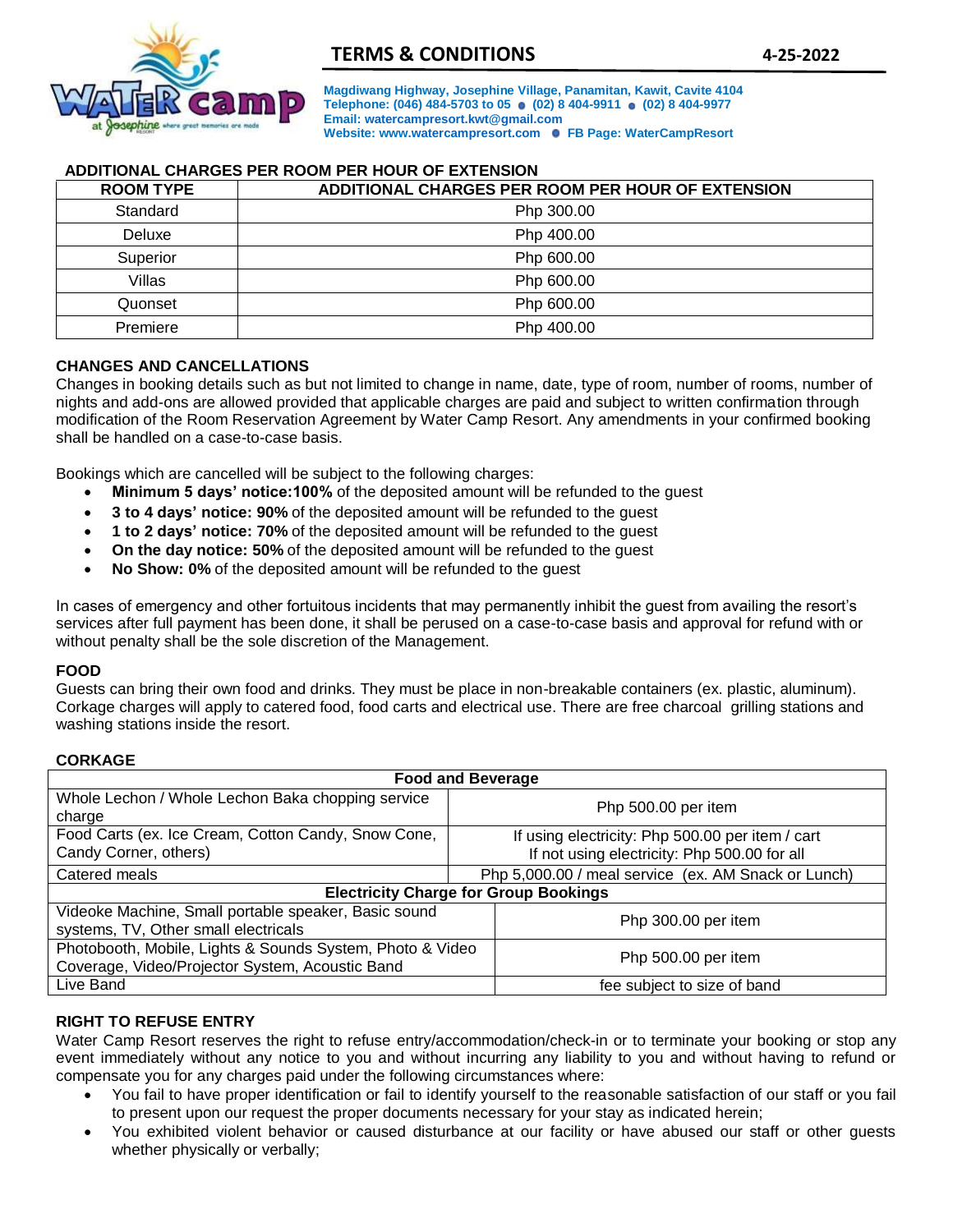

**Magdiwang Highway, Josephine Village, Panamitan, Kawit, Cavite 4104**  Telephone: (046) 484-5703 to 05 (02) 8 404-9911 (02) 8 404-9977 **Email[: watercampresort.kwt@gmail.com](mailto:watercampresort.kwt@gmail.com)  Website: ww[w.watercampresort.com](mailto:watercampresort.kwt@gmail.com) FB Page: WaterCampResort**

# **ADDITIONAL CHARGES PER ROOM PER HOUR OF EXTENSION**

| <b>ROOM TYPE</b> | ADDITIONAL CHARGES PER ROOM PER HOUR OF EXTENSION |  |
|------------------|---------------------------------------------------|--|
| Standard         | Php 300.00                                        |  |
| Deluxe           | Php 400.00                                        |  |
| Superior         | Php 600.00                                        |  |
| Villas           | Php 600.00                                        |  |
| Quonset          | Php 600.00                                        |  |
| Premiere         | Php 400.00                                        |  |

### **CHANGES AND CANCELLATIONS**

Changes in booking details such as but not limited to change in name, date, type of room, number of rooms, number of nights and add-ons are allowed provided that applicable charges are paid and subject to written confirmation through modification of the Room Reservation Agreement by Water Camp Resort. Any amendments in your confirmed booking shall be handled on a case-to-case basis.

Bookings which are cancelled will be subject to the following charges:

- **Minimum 5 days' notice:100%** of the deposited amount will be refunded to the guest
- **3 to 4 days' notice: 90%** of the deposited amount will be refunded to the guest
- **1 to 2 days' notice: 70%** of the deposited amount will be refunded to the guest
- **On the day notice: 50%** of the deposited amount will be refunded to the guest
- **No Show: 0%** of the deposited amount will be refunded to the guest

In cases of emergency and other fortuitous incidents that may permanently inhibit the guest from availing the resort's services after full payment has been done, it shall be perused on a case-to-case basis and approval for refund with or without penalty shall be the sole discretion of the Management.

#### **FOOD**

Guests can bring their own food and drinks. They must be place in non-breakable containers (ex. plastic, aluminum). Corkage charges will apply to catered food, food carts and electrical use. There are free charcoal grilling stations and washing stations inside the resort.

#### **CORKAGE**

| <b>Food and Beverage</b>                                                                                     |                                                                                                  |  |  |
|--------------------------------------------------------------------------------------------------------------|--------------------------------------------------------------------------------------------------|--|--|
| Whole Lechon / Whole Lechon Baka chopping service<br>charge                                                  | Php 500.00 per item                                                                              |  |  |
| Food Carts (ex. Ice Cream, Cotton Candy, Snow Cone,<br>Candy Corner, others)                                 | If using electricity: Php 500.00 per item / cart<br>If not using electricity: Php 500.00 for all |  |  |
| Catered meals                                                                                                | Php 5,000.00 / meal service (ex. AM Snack or Lunch)                                              |  |  |
| <b>Electricity Charge for Group Bookings</b>                                                                 |                                                                                                  |  |  |
| Videoke Machine, Small portable speaker, Basic sound<br>systems, TV, Other small electricals                 | Php 300.00 per item                                                                              |  |  |
| Photobooth, Mobile, Lights & Sounds System, Photo & Video<br>Coverage, Video/Projector System, Acoustic Band | Php 500.00 per item                                                                              |  |  |
| Live Band                                                                                                    | fee subject to size of band                                                                      |  |  |

# **RIGHT TO REFUSE ENTRY**

Water Camp Resort reserves the right to refuse entry/accommodation/check-in or to terminate your booking or stop any event immediately without any notice to you and without incurring any liability to you and without having to refund or compensate you for any charges paid under the following circumstances where:

- You fail to have proper identification or fail to identify yourself to the reasonable satisfaction of our staff or you fail to present upon our request the proper documents necessary for your stay as indicated herein;
- You exhibited violent behavior or caused disturbance at our facility or have abused our staff or other guests whether physically or verbally;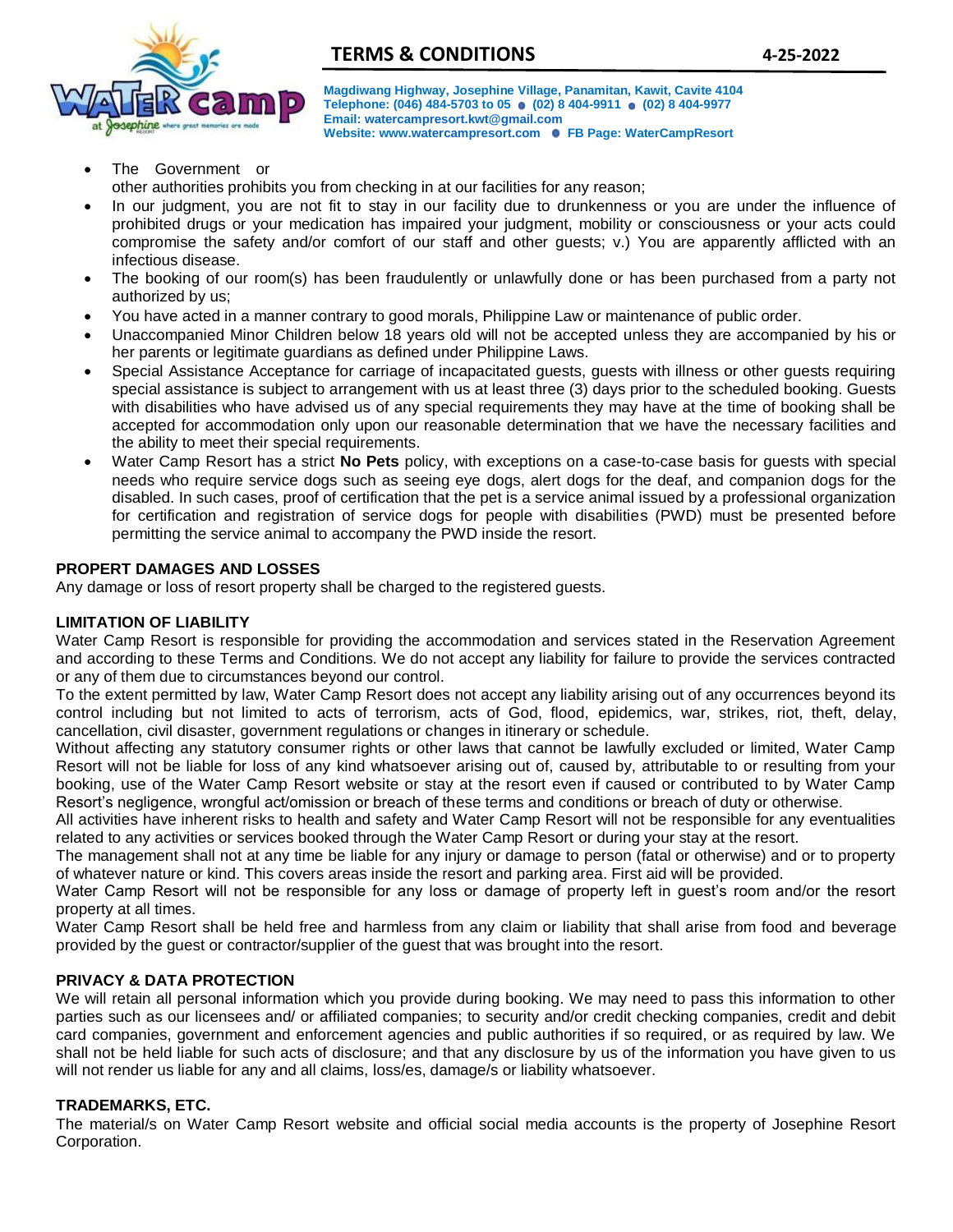

**Magdiwang Highway, Josephine Village, Panamitan, Kawit, Cavite 4104**  Telephone: (046) 484-5703 to 05 (02) 8 404-9911 (02) 8 404-9977 **Email[: watercampresort.kwt@gmail.com](mailto:watercampresort.kwt@gmail.com)  Website: ww[w.watercampresort.com](mailto:watercampresort.kwt@gmail.com) FB Page: WaterCampResort**

The Government or

other authorities prohibits you from checking in at our facilities for any reason;

- In our judgment, you are not fit to stay in our facility due to drunkenness or you are under the influence of prohibited drugs or your medication has impaired your judgment, mobility or consciousness or your acts could compromise the safety and/or comfort of our staff and other guests; v.) You are apparently afflicted with an infectious disease.
- The booking of our room(s) has been fraudulently or unlawfully done or has been purchased from a party not authorized by us;
- You have acted in a manner contrary to good morals, Philippine Law or maintenance of public order.
- Unaccompanied Minor Children below 18 years old will not be accepted unless they are accompanied by his or her parents or legitimate guardians as defined under Philippine Laws.
- Special Assistance Acceptance for carriage of incapacitated guests, guests with illness or other guests requiring special assistance is subject to arrangement with us at least three (3) days prior to the scheduled booking. Guests with disabilities who have advised us of any special requirements they may have at the time of booking shall be accepted for accommodation only upon our reasonable determination that we have the necessary facilities and the ability to meet their special requirements.
- Water Camp Resort has a strict **No Pets** policy, with exceptions on a case-to-case basis for guests with special needs who require service dogs such as seeing eye dogs, alert dogs for the deaf, and companion dogs for the disabled. In such cases, proof of certification that the pet is a service animal issued by a professional organization for certification and registration of service dogs for people with disabilities (PWD) must be presented before permitting the service animal to accompany the PWD inside the resort.

## **PROPERT DAMAGES AND LOSSES**

Any damage or loss of resort property shall be charged to the registered guests.

### **LIMITATION OF LIABILITY**

Water Camp Resort is responsible for providing the accommodation and services stated in the Reservation Agreement and according to these Terms and Conditions. We do not accept any liability for failure to provide the services contracted or any of them due to circumstances beyond our control.

To the extent permitted by law, Water Camp Resort does not accept any liability arising out of any occurrences beyond its control including but not limited to acts of terrorism, acts of God, flood, epidemics, war, strikes, riot, theft, delay, cancellation, civil disaster, government regulations or changes in itinerary or schedule.

Without affecting any statutory consumer rights or other laws that cannot be lawfully excluded or limited, Water Camp Resort will not be liable for loss of any kind whatsoever arising out of, caused by, attributable to or resulting from your booking, use of the Water Camp Resort website or stay at the resort even if caused or contributed to by Water Camp Resort's negligence, wrongful act/omission or breach of these terms and conditions or breach of duty or otherwise.

All activities have inherent risks to health and safety and Water Camp Resort will not be responsible for any eventualities related to any activities or services booked through the Water Camp Resort or during your stay at the resort.

The management shall not at any time be liable for any injury or damage to person (fatal or otherwise) and or to property of whatever nature or kind. This covers areas inside the resort and parking area. First aid will be provided.

Water Camp Resort will not be responsible for any loss or damage of property left in guest's room and/or the resort property at all times.

Water Camp Resort shall be held free and harmless from any claim or liability that shall arise from food and beverage provided by the guest or contractor/supplier of the guest that was brought into the resort.

### **PRIVACY & DATA PROTECTION**

We will retain all personal information which you provide during booking. We may need to pass this information to other parties such as our licensees and/ or affiliated companies; to security and/or credit checking companies, credit and debit card companies, government and enforcement agencies and public authorities if so required, or as required by law. We shall not be held liable for such acts of disclosure; and that any disclosure by us of the information you have given to us will not render us liable for any and all claims, loss/es, damage/s or liability whatsoever.

### **TRADEMARKS, ETC.**

The material/s on Water Camp Resort website and official social media accounts is the property of Josephine Resort Corporation.